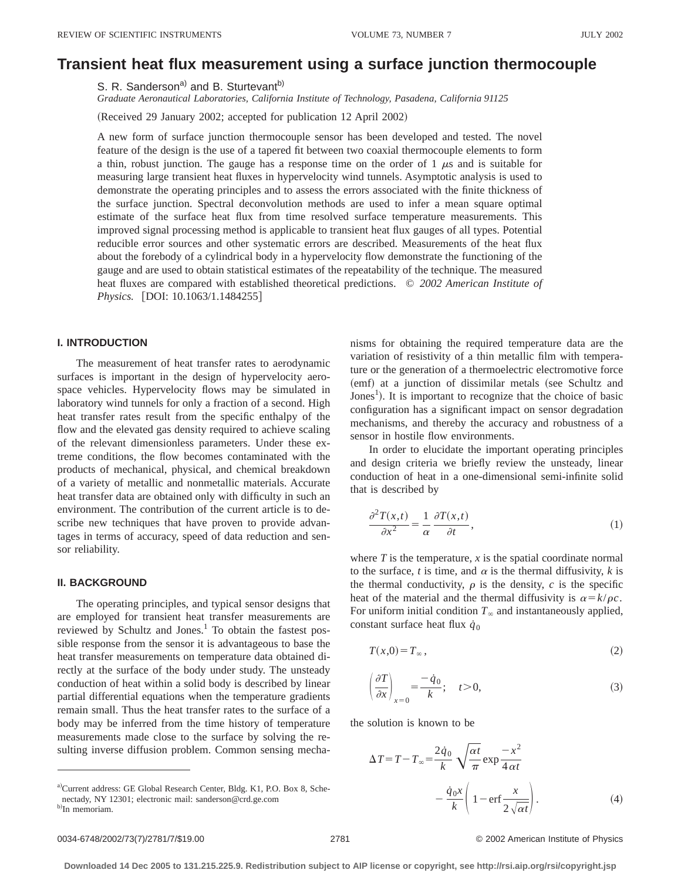# **Transient heat flux measurement using a surface junction thermocouple**

S. R. Sanderson<sup>a)</sup> and B. Sturtevant<sup>b)</sup>

*Graduate Aeronautical Laboratories, California Institute of Technology, Pasadena, California 91125*

(Received 29 January 2002; accepted for publication 12 April 2002)

A new form of surface junction thermocouple sensor has been developed and tested. The novel feature of the design is the use of a tapered fit between two coaxial thermocouple elements to form a thin, robust junction. The gauge has a response time on the order of 1  $\mu$ s and is suitable for measuring large transient heat fluxes in hypervelocity wind tunnels. Asymptotic analysis is used to demonstrate the operating principles and to assess the errors associated with the finite thickness of the surface junction. Spectral deconvolution methods are used to infer a mean square optimal estimate of the surface heat flux from time resolved surface temperature measurements. This improved signal processing method is applicable to transient heat flux gauges of all types. Potential reducible error sources and other systematic errors are described. Measurements of the heat flux about the forebody of a cylindrical body in a hypervelocity flow demonstrate the functioning of the gauge and are used to obtain statistical estimates of the repeatability of the technique. The measured heat fluxes are compared with established theoretical predictions. © *2002 American Institute of Physics.* [DOI: 10.1063/1.1484255]

# **I. INTRODUCTION**

The measurement of heat transfer rates to aerodynamic surfaces is important in the design of hypervelocity aerospace vehicles. Hypervelocity flows may be simulated in laboratory wind tunnels for only a fraction of a second. High heat transfer rates result from the specific enthalpy of the flow and the elevated gas density required to achieve scaling of the relevant dimensionless parameters. Under these extreme conditions, the flow becomes contaminated with the products of mechanical, physical, and chemical breakdown of a variety of metallic and nonmetallic materials. Accurate heat transfer data are obtained only with difficulty in such an environment. The contribution of the current article is to describe new techniques that have proven to provide advantages in terms of accuracy, speed of data reduction and sensor reliability.

# **II. BACKGROUND**

The operating principles, and typical sensor designs that are employed for transient heat transfer measurements are reviewed by Schultz and Jones.<sup>1</sup> To obtain the fastest possible response from the sensor it is advantageous to base the heat transfer measurements on temperature data obtained directly at the surface of the body under study. The unsteady conduction of heat within a solid body is described by linear partial differential equations when the temperature gradients remain small. Thus the heat transfer rates to the surface of a body may be inferred from the time history of temperature measurements made close to the surface by solving the resulting inverse diffusion problem. Common sensing mechanisms for obtaining the required temperature data are the variation of resistivity of a thin metallic film with temperature or the generation of a thermoelectric electromotive force (emf) at a junction of dissimilar metals (see Schultz and Jones<sup>1</sup>). It is important to recognize that the choice of basic configuration has a significant impact on sensor degradation mechanisms, and thereby the accuracy and robustness of a sensor in hostile flow environments.

In order to elucidate the important operating principles and design criteria we briefly review the unsteady, linear conduction of heat in a one-dimensional semi-infinite solid that is described by

$$
\frac{\partial^2 T(x,t)}{\partial x^2} = \frac{1}{\alpha} \frac{\partial T(x,t)}{\partial t},\tag{1}
$$

where  $T$  is the temperature,  $x$  is the spatial coordinate normal to the surface, *t* is time, and  $\alpha$  is the thermal diffusivity, *k* is the thermal conductivity,  $\rho$  is the density,  $c$  is the specific heat of the material and the thermal diffusivity is  $\alpha = k/\rho c$ . For uniform initial condition  $T_\infty$  and instantaneously applied, constant surface heat flux  $\dot{q}_0$ 

$$
T(x,0) = T_{\infty},\tag{2}
$$

$$
\left(\frac{\partial T}{\partial x}\right)_{x=0} = \frac{-\dot{q}_0}{k}; \quad t > 0,
$$
\n(3)

the solution is known to be

$$
\Delta T = T - T_{\infty} = \frac{2\dot{q}_0}{k} \sqrt{\frac{\alpha t}{\pi}} \exp{\frac{-x^2}{4\alpha t}} - \frac{\dot{q}_0 x}{k} \left( 1 - \text{erf} \frac{x}{2\sqrt{\alpha t}} \right). \tag{4}
$$

0034-6748/2002/73(7)/2781/7/\$19.00 © 2002 American Institute of Physics 2781

a)Current address: GE Global Research Center, Bldg. K1, P.O. Box 8, Schenectady, NY 12301; electronic mail: sanderson@crd.ge.com b)In memoriam.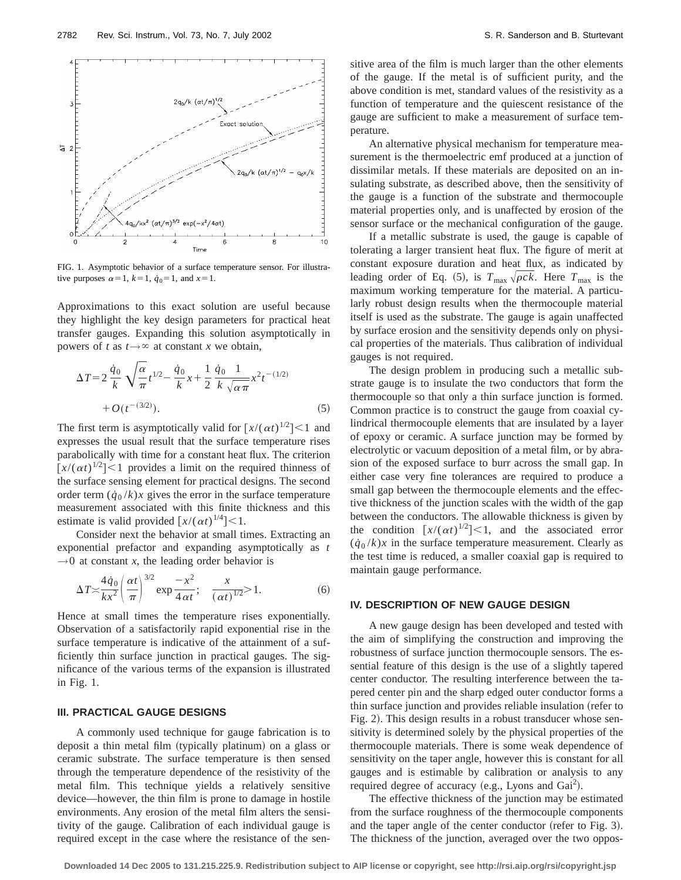

FIG. 1. Asymptotic behavior of a surface temperature sensor. For illustrative purposes  $\alpha=1$ ,  $k=1$ ,  $\dot{q}_0=1$ , and  $x=1$ .

Approximations to this exact solution are useful because they highlight the key design parameters for practical heat transfer gauges. Expanding this solution asymptotically in powers of *t* as  $t \rightarrow \infty$  at constant *x* we obtain,

$$
\Delta T = 2 \frac{\dot{q}_0}{k} \sqrt{\frac{\alpha}{\pi}} t^{1/2} - \frac{\dot{q}_0}{k} x + \frac{1}{2} \frac{\dot{q}_0}{k} \frac{1}{\sqrt{\alpha \pi}} x^2 t^{-(1/2)} + O(t^{-(3/2)}).
$$
\n(5)

The first term is asymptotically valid for  $[x/(\alpha t)^{1/2}] < 1$  and expresses the usual result that the surface temperature rises parabolically with time for a constant heat flux. The criterion  $[x/(\alpha t)^{1/2}]$  < 1 provides a limit on the required thinness of the surface sensing element for practical designs. The second order term  $(\dot{q}_0 / k)x$  gives the error in the surface temperature measurement associated with this finite thickness and this estimate is valid provided  $\left[x/(\alpha t)^{1/4}\right] < 1$ .

Consider next the behavior at small times. Extracting an exponential prefactor and expanding asymptotically as *t*  $\rightarrow$ 0 at constant *x*, the leading order behavior is

$$
\Delta T \approx \frac{4\dot{q}_0}{kx^2} \left(\frac{\alpha t}{\pi}\right)^{3/2} \exp{\frac{-x^2}{4\alpha t}}; \quad \frac{x}{(\alpha t)^{1/2}} > 1.
$$
 (6)

Hence at small times the temperature rises exponentially. Observation of a satisfactorily rapid exponential rise in the surface temperature is indicative of the attainment of a sufficiently thin surface junction in practical gauges. The significance of the various terms of the expansion is illustrated in Fig. 1.

#### **III. PRACTICAL GAUGE DESIGNS**

A commonly used technique for gauge fabrication is to deposit a thin metal film (typically platinum) on a glass or ceramic substrate. The surface temperature is then sensed through the temperature dependence of the resistivity of the metal film. This technique yields a relatively sensitive device—however, the thin film is prone to damage in hostile environments. Any erosion of the metal film alters the sensitivity of the gauge. Calibration of each individual gauge is required except in the case where the resistance of the sensitive area of the film is much larger than the other elements of the gauge. If the metal is of sufficient purity, and the above condition is met, standard values of the resistivity as a function of temperature and the quiescent resistance of the gauge are sufficient to make a measurement of surface temperature.

An alternative physical mechanism for temperature measurement is the thermoelectric emf produced at a junction of dissimilar metals. If these materials are deposited on an insulating substrate, as described above, then the sensitivity of the gauge is a function of the substrate and thermocouple material properties only, and is unaffected by erosion of the sensor surface or the mechanical configuration of the gauge.

If a metallic substrate is used, the gauge is capable of tolerating a larger transient heat flux. The figure of merit at constant exposure duration and heat flux, as indicated by leading order of Eq. (5), is  $T_{\text{max}} \sqrt{\rho c k}$ . Here  $T_{\text{max}}$  is the maximum working temperature for the material. A particularly robust design results when the thermocouple material itself is used as the substrate. The gauge is again unaffected by surface erosion and the sensitivity depends only on physical properties of the materials. Thus calibration of individual gauges is not required.

The design problem in producing such a metallic substrate gauge is to insulate the two conductors that form the thermocouple so that only a thin surface junction is formed. Common practice is to construct the gauge from coaxial cylindrical thermocouple elements that are insulated by a layer of epoxy or ceramic. A surface junction may be formed by electrolytic or vacuum deposition of a metal film, or by abrasion of the exposed surface to burr across the small gap. In either case very fine tolerances are required to produce a small gap between the thermocouple elements and the effective thickness of the junction scales with the width of the gap between the conductors. The allowable thickness is given by the condition  $\left[x/(\alpha t)^{1/2}\right] < 1$ , and the associated error  $(\dot{q}_0 / k)x$  in the surface temperature measurement. Clearly as the test time is reduced, a smaller coaxial gap is required to maintain gauge performance.

# **IV. DESCRIPTION OF NEW GAUGE DESIGN**

A new gauge design has been developed and tested with the aim of simplifying the construction and improving the robustness of surface junction thermocouple sensors. The essential feature of this design is the use of a slightly tapered center conductor. The resulting interference between the tapered center pin and the sharp edged outer conductor forms a thin surface junction and provides reliable insulation (refer to Fig. 2). This design results in a robust transducer whose sensitivity is determined solely by the physical properties of the thermocouple materials. There is some weak dependence of sensitivity on the taper angle, however this is constant for all gauges and is estimable by calibration or analysis to any required degree of accuracy (e.g., Lyons and Gai<sup>2</sup>).

The effective thickness of the junction may be estimated from the surface roughness of the thermocouple components and the taper angle of the center conductor (refer to Fig. 3). The thickness of the junction, averaged over the two oppos-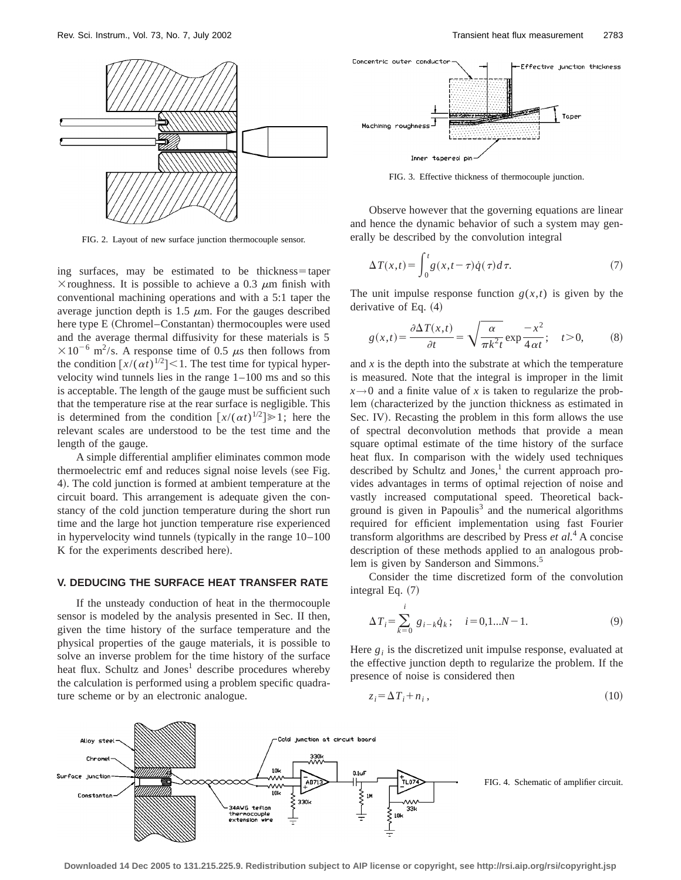

FIG. 2. Layout of new surface junction thermocouple sensor.

ing surfaces, may be estimated to be thickness=taper  $\times$  roughness. It is possible to achieve a 0.3  $\mu$ m finish with conventional machining operations and with a 5:1 taper the average junction depth is 1.5  $\mu$ m. For the gauges described here type  $E$  (Chromel–Constantan) thermocouples were used and the average thermal diffusivity for these materials is 5  $\times 10^{-6}$  m<sup>2</sup>/s. A response time of 0.5  $\mu$ s then follows from the condition  $[x/(\alpha t)^{1/2}]$  < 1. The test time for typical hypervelocity wind tunnels lies in the range 1–100 ms and so this is acceptable. The length of the gauge must be sufficient such that the temperature rise at the rear surface is negligible. This is determined from the condition  $\left[x/(\alpha t)^{1/2}\right] \ge 1$ ; here the relevant scales are understood to be the test time and the length of the gauge.

A simple differential amplifier eliminates common mode thermoelectric emf and reduces signal noise levels (see Fig. 4). The cold junction is formed at ambient temperature at the circuit board. This arrangement is adequate given the constancy of the cold junction temperature during the short run time and the large hot junction temperature rise experienced in hypervelocity wind tunnels (typically in the range  $10-100$ K for the experiments described here).

#### **V. DEDUCING THE SURFACE HEAT TRANSFER RATE**

If the unsteady conduction of heat in the thermocouple sensor is modeled by the analysis presented in Sec. II then, given the time history of the surface temperature and the physical properties of the gauge materials, it is possible to solve an inverse problem for the time history of the surface heat flux. Schultz and Jones<sup>1</sup> describe procedures whereby the calculation is performed using a problem specific quadrature scheme or by an electronic analogue.



FIG. 3. Effective thickness of thermocouple junction.

Observe however that the governing equations are linear and hence the dynamic behavior of such a system may generally be described by the convolution integral

$$
\Delta T(x,t) = \int_0^t g(x,t-\tau)\dot{q}(\tau)d\tau.
$$
 (7)

The unit impulse response function  $g(x,t)$  is given by the derivative of Eq.  $(4)$ 

$$
g(x,t) = \frac{\partial \Delta T(x,t)}{\partial t} = \sqrt{\frac{\alpha}{\pi k^2 t}} \exp{\frac{-x^2}{4\alpha t}}; \quad t > 0,
$$
 (8)

and *x* is the depth into the substrate at which the temperature is measured. Note that the integral is improper in the limit  $x \rightarrow 0$  and a finite value of *x* is taken to regularize the problem (characterized by the junction thickness as estimated in Sec. IV). Recasting the problem in this form allows the use of spectral deconvolution methods that provide a mean square optimal estimate of the time history of the surface heat flux. In comparison with the widely used techniques described by Schultz and Jones, $<sup>1</sup>$  the current approach pro-</sup> vides advantages in terms of optimal rejection of noise and vastly increased computational speed. Theoretical background is given in Papoulis $3$  and the numerical algorithms required for efficient implementation using fast Fourier transform algorithms are described by Press *et al.*<sup>4</sup> A concise description of these methods applied to an analogous problem is given by Sanderson and Simmons.<sup>5</sup>

Consider the time discretized form of the convolution integral Eq.  $(7)$ 

$$
\Delta T_i = \sum_{k=0}^{i} g_{i-k} \dot{q}_k; \quad i = 0, 1...N - 1.
$$
 (9)

Here  $g_i$  is the discretized unit impulse response, evaluated at the effective junction depth to regularize the problem. If the presence of noise is considered then

$$
z_i = \Delta T_i + n_i, \qquad (10)
$$



FIG. 4. Schematic of amplifier circuit.

**Downloaded 14 Dec 2005 to 131.215.225.9. Redistribution subject to AIP license or copyright, see http://rsi.aip.org/rsi/copyright.jsp**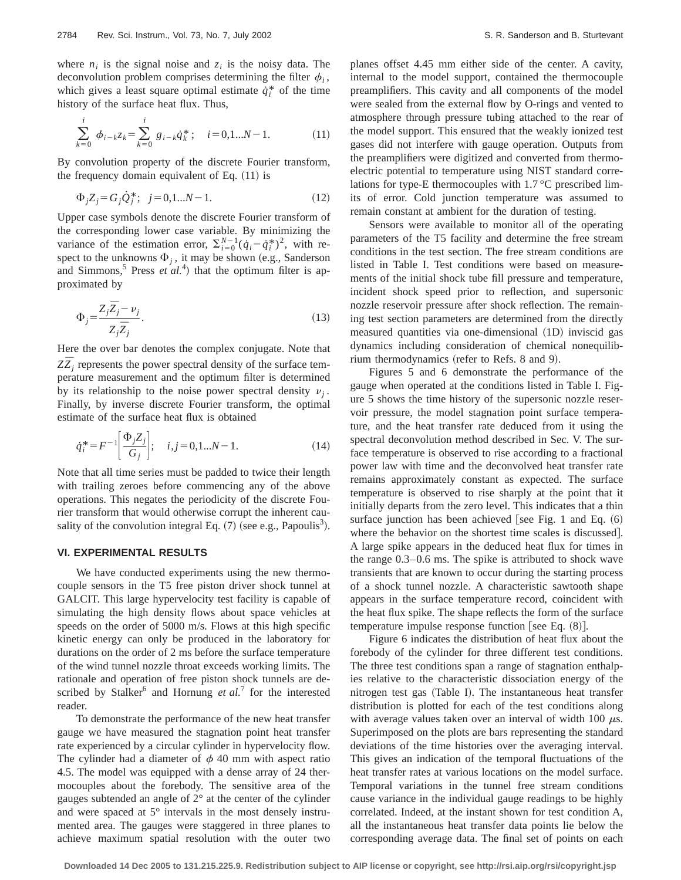where  $n_i$  is the signal noise and  $z_i$  is the noisy data. The deconvolution problem comprises determining the filter  $\phi_i$ , which gives a least square optimal estimate  $\dot{q}_i^*$  of the time history of the surface heat flux. Thus,

$$
\sum_{k=0}^{i} \phi_{i-k} z_k = \sum_{k=0}^{i} g_{i-k} \dot{q}_k^*; \quad i = 0, 1...N-1.
$$
 (11)

By convolution property of the discrete Fourier transform, the frequency domain equivalent of Eq.  $(11)$  is

$$
\Phi_j Z_j = G_j \dot{Q}_j^*; \ \ j = 0, 1...N - 1. \tag{12}
$$

Upper case symbols denote the discrete Fourier transform of the corresponding lower case variable. By minimizing the variance of the estimation error,  $\sum_{i=0}^{N-1} (\dot{q}_i - \dot{q}_i^*)^2$ , with respect to the unknowns  $\Phi_i$ , it may be shown (e.g., Sanderson and Simmons,<sup>5</sup> Press  $et$   $al$ <sup>4</sup>) that the optimum filter is approximated by

$$
\Phi_j = \frac{Z_j \overline{Z}_j - \nu_j}{Z_j \overline{Z}_j}.
$$
\n(13)

Here the over bar denotes the complex conjugate. Note that  $Z\bar{Z}_i$  represents the power spectral density of the surface temperature measurement and the optimum filter is determined by its relationship to the noise power spectral density  $v_i$ . Finally, by inverse discrete Fourier transform, the optimal estimate of the surface heat flux is obtained

$$
\dot{q}_i^* = F^{-1} \left[ \frac{\Phi_j Z_j}{G_j} \right]; \quad i, j = 0, 1...N - 1. \tag{14}
$$

Note that all time series must be padded to twice their length with trailing zeroes before commencing any of the above operations. This negates the periodicity of the discrete Fourier transform that would otherwise corrupt the inherent causality of the convolution integral Eq.  $(7)$  (see e.g., Papoulis<sup>3</sup>).

# **VI. EXPERIMENTAL RESULTS**

We have conducted experiments using the new thermocouple sensors in the T5 free piston driver shock tunnel at GALCIT. This large hypervelocity test facility is capable of simulating the high density flows about space vehicles at speeds on the order of 5000 m/s. Flows at this high specific kinetic energy can only be produced in the laboratory for durations on the order of 2 ms before the surface temperature of the wind tunnel nozzle throat exceeds working limits. The rationale and operation of free piston shock tunnels are described by Stalker<sup>6</sup> and Hornung *et al.*<sup>7</sup> for the interested reader.

To demonstrate the performance of the new heat transfer gauge we have measured the stagnation point heat transfer rate experienced by a circular cylinder in hypervelocity flow. The cylinder had a diameter of  $\phi$  40 mm with aspect ratio 4.5. The model was equipped with a dense array of 24 thermocouples about the forebody. The sensitive area of the gauges subtended an angle of 2° at the center of the cylinder and were spaced at 5° intervals in the most densely instrumented area. The gauges were staggered in three planes to achieve maximum spatial resolution with the outer two planes offset 4.45 mm either side of the center. A cavity, internal to the model support, contained the thermocouple preamplifiers. This cavity and all components of the model were sealed from the external flow by O-rings and vented to atmosphere through pressure tubing attached to the rear of the model support. This ensured that the weakly ionized test gases did not interfere with gauge operation. Outputs from the preamplifiers were digitized and converted from thermoelectric potential to temperature using NIST standard correlations for type-E thermocouples with 1.7 °C prescribed limits of error. Cold junction temperature was assumed to remain constant at ambient for the duration of testing.

Sensors were available to monitor all of the operating parameters of the T5 facility and determine the free stream conditions in the test section. The free stream conditions are listed in Table I. Test conditions were based on measurements of the initial shock tube fill pressure and temperature, incident shock speed prior to reflection, and supersonic nozzle reservoir pressure after shock reflection. The remaining test section parameters are determined from the directly measured quantities via one-dimensional (1D) inviscid gas dynamics including consideration of chemical nonequilibrium thermodynamics (refer to Refs. 8 and 9).

Figures 5 and 6 demonstrate the performance of the gauge when operated at the conditions listed in Table I. Figure 5 shows the time history of the supersonic nozzle reservoir pressure, the model stagnation point surface temperature, and the heat transfer rate deduced from it using the spectral deconvolution method described in Sec. V. The surface temperature is observed to rise according to a fractional power law with time and the deconvolved heat transfer rate remains approximately constant as expected. The surface temperature is observed to rise sharply at the point that it initially departs from the zero level. This indicates that a thin surface junction has been achieved [see Fig. 1 and Eq.  $(6)$ where the behavior on the shortest time scales is discussed. A large spike appears in the deduced heat flux for times in the range 0.3–0.6 ms. The spike is attributed to shock wave transients that are known to occur during the starting process of a shock tunnel nozzle. A characteristic sawtooth shape appears in the surface temperature record, coincident with the heat flux spike. The shape reflects the form of the surface temperature impulse response function [see Eq.  $(8)$ ].

Figure 6 indicates the distribution of heat flux about the forebody of the cylinder for three different test conditions. The three test conditions span a range of stagnation enthalpies relative to the characteristic dissociation energy of the nitrogen test gas (Table I). The instantaneous heat transfer distribution is plotted for each of the test conditions along with average values taken over an interval of width 100  $\mu$ s. Superimposed on the plots are bars representing the standard deviations of the time histories over the averaging interval. This gives an indication of the temporal fluctuations of the heat transfer rates at various locations on the model surface. Temporal variations in the tunnel free stream conditions cause variance in the individual gauge readings to be highly correlated. Indeed, at the instant shown for test condition A, all the instantaneous heat transfer data points lie below the corresponding average data. The final set of points on each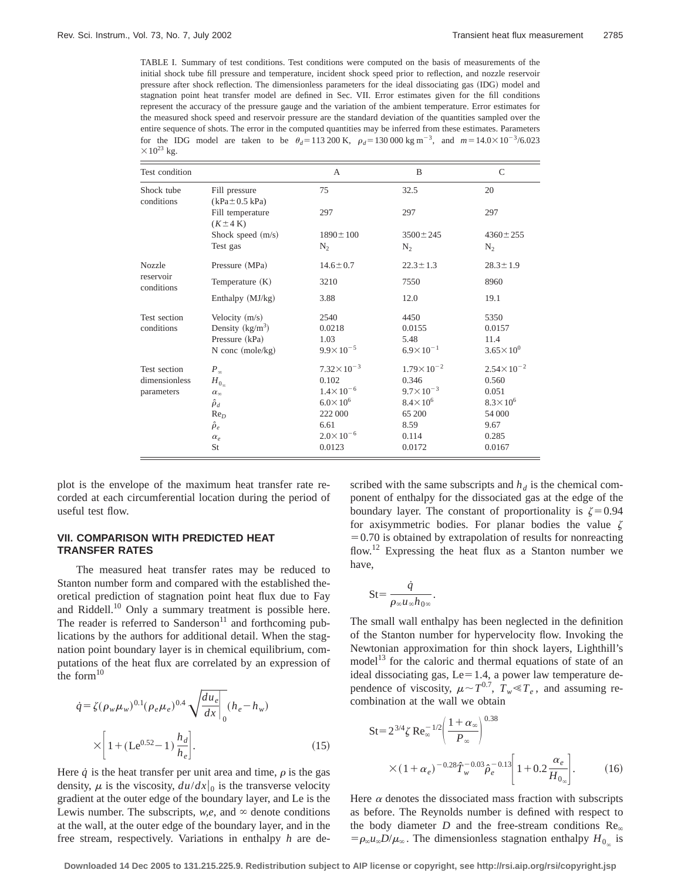TABLE I. Summary of test conditions. Test conditions were computed on the basis of measurements of the initial shock tube fill pressure and temperature, incident shock speed prior to reflection, and nozzle reservoir pressure after shock reflection. The dimensionless parameters for the ideal dissociating gas (IDG) model and stagnation point heat transfer model are defined in Sec. VII. Error estimates given for the fill conditions represent the accuracy of the pressure gauge and the variation of the ambient temperature. Error estimates for the measured shock speed and reservoir pressure are the standard deviation of the quantities sampled over the entire sequence of shots. The error in the computed quantities may be inferred from these estimates. Parameters for the IDG model are taken to be  $\theta_d = 113\,200 \text{ K}$ ,  $\rho_d = 130\,000 \text{ kg m}^{-3}$ , and  $m = 14.0 \times 10^{-3}/6.023$  $\times$ 10<sup>23</sup> kg.

| Test condition                              |                                      | A                     | B                     | $\mathsf{C}$          |
|---------------------------------------------|--------------------------------------|-----------------------|-----------------------|-----------------------|
| Shock tube<br>conditions                    | Fill pressure<br>$(kPa \pm 0.5 kPa)$ | 75                    | 32.5                  | 20                    |
|                                             | Fill temperature<br>$(K \pm 4 K)$    | 297                   | 297                   | 297                   |
|                                             | Shock speed $(m/s)$                  | $1890 \pm 100$        | $3500 \pm 245$        | $4360 \pm 255$        |
|                                             | Test gas                             | $N_{2}$               | $N_{2}$               | $N_{2}$               |
| <b>Nozzle</b><br>reservoir<br>conditions    | Pressure (MPa)                       | $14.6 \pm 0.7$        | $22.3 \pm 1.3$        | $28.3 \pm 1.9$        |
|                                             | Temperature $(K)$                    | 3210                  | 7550                  | 8960                  |
|                                             | Enthalpy (MJ/kg)                     | 3.88                  | 12.0                  | 19.1                  |
| Test section<br>conditions                  | Velocity $(m/s)$                     | 2540                  | 4450                  | 5350                  |
|                                             | Density $(kg/m^3)$                   | 0.0218                | 0.0155                | 0.0157                |
|                                             | Pressure (kPa)                       | 1.03                  | 5.48                  | 11.4                  |
|                                             | $N$ conc (mole/kg)                   | $9.9 \times 10^{-5}$  | $6.9 \times 10^{-1}$  | $3.65 \times 10^{0}$  |
| Test section<br>dimensionless<br>parameters | $P_{\infty}$                         | $7.32 \times 10^{-3}$ | $1.79 \times 10^{-2}$ | $2.54 \times 10^{-2}$ |
|                                             | $H_{0_{\infty}}$                     | 0.102                 | 0.346                 | 0.560                 |
|                                             | $\alpha_{\infty}$                    | $1.4 \times 10^{-6}$  | $9.7 \times 10^{-3}$  | 0.051                 |
|                                             | $\hat{\rho}_d$                       | $6.0 \times 10^{6}$   | $8.4 \times 10^{6}$   | $8.3 \times 10^{6}$   |
|                                             | Re <sub>D</sub>                      | 222 000               | 65 200                | 54 000                |
|                                             | $\hat{\rho}_e$                       | 6.61                  | 8.59                  | 9.67                  |
|                                             | $\alpha_e$                           | $2.0 \times 10^{-6}$  | 0.114                 | 0.285                 |
|                                             | St                                   | 0.0123                | 0.0172                | 0.0167                |

plot is the envelope of the maximum heat transfer rate recorded at each circumferential location during the period of useful test flow.

# **VII. COMPARISON WITH PREDICTED HEAT TRANSFER RATES**

The measured heat transfer rates may be reduced to Stanton number form and compared with the established theoretical prediction of stagnation point heat flux due to Fay and Riddell. $10$  Only a summary treatment is possible here. The reader is referred to Sanderson<sup>11</sup> and forthcoming publications by the authors for additional detail. When the stagnation point boundary layer is in chemical equilibrium, computations of the heat flux are correlated by an expression of the form $10$ 

$$
\dot{q} = \zeta (\rho_w \mu_w)^{0.1} (\rho_e \mu_e)^{0.4} \sqrt{\frac{du_e}{dx}} \bigg|_0 (h_e - h_w)
$$

$$
\times \bigg[ 1 + (\text{Le}^{0.52} - 1) \frac{h_d}{h_e} \bigg]. \tag{15}
$$

Here  $\dot{q}$  is the heat transfer per unit area and time,  $\rho$  is the gas density,  $\mu$  is the viscosity,  $du/dx|_0$  is the transverse velocity gradient at the outer edge of the boundary layer, and Le is the Lewis number. The subscripts,  $w, e$ , and  $\infty$  denote conditions at the wall, at the outer edge of the boundary layer, and in the free stream, respectively. Variations in enthalpy *h* are described with the same subscripts and  $h_d$  is the chemical component of enthalpy for the dissociated gas at the edge of the boundary layer. The constant of proportionality is  $\zeta = 0.94$ for axisymmetric bodies. For planar bodies the value  $\zeta$  $=0.70$  is obtained by extrapolation of results for nonreacting flow.12 Expressing the heat flux as a Stanton number we have,

$$
St = \frac{\dot{q}}{\rho_{\infty} u_{\infty} h_{0\infty}}.
$$

The small wall enthalpy has been neglected in the definition of the Stanton number for hypervelocity flow. Invoking the Newtonian approximation for thin shock layers, Lighthill's model<sup>13</sup> for the caloric and thermal equations of state of an ideal dissociating gas,  $Le=1.4$ , a power law temperature dependence of viscosity,  $\mu \sim T^{0.7}$ ,  $T_w \ll T_e$ , and assuming recombination at the wall we obtain

$$
St = 2^{3/4} \zeta \operatorname{Re}_{\infty}^{-1/2} \left( \frac{1 + \alpha_{\infty}}{P_{\infty}} \right)^{0.38}
$$
  
×  $(1 + \alpha_e)^{-0.28} \hat{T}_w^{-0.03} \hat{\rho}_e^{-0.13} \left[ 1 + 0.2 \frac{\alpha_e}{H_{0_{\infty}}} \right].$  (16)

Here  $\alpha$  denotes the dissociated mass fraction with subscripts as before. The Reynolds number is defined with respect to the body diameter  $D$  and the free-stream conditions  $\text{Re}_{\infty}$  $= \rho_{\infty} u_{\infty} D / \mu_{\infty}$ . The dimensionless stagnation enthalpy  $H_{0_{\infty}}$  is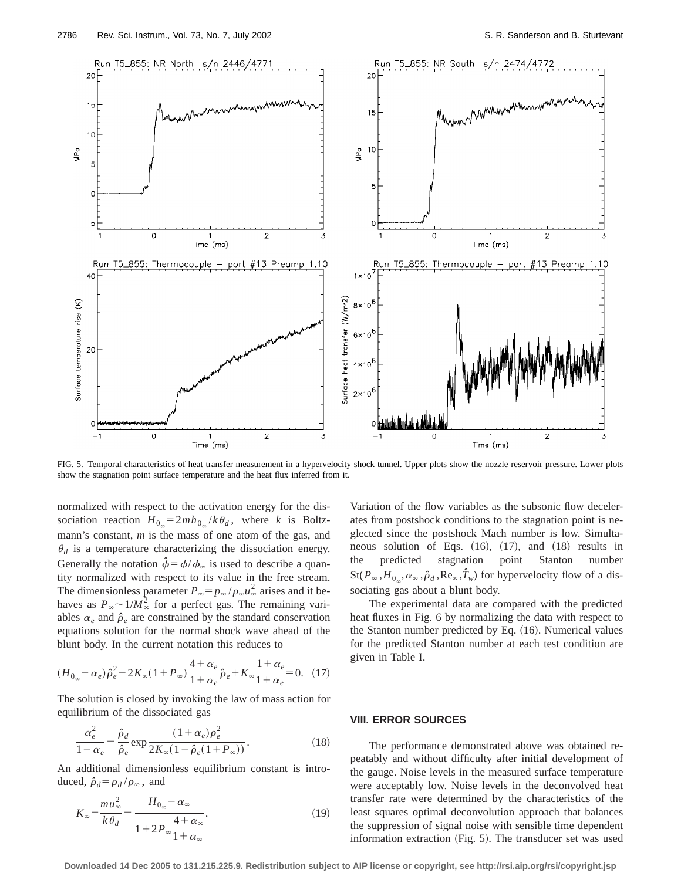

FIG. 5. Temporal characteristics of heat transfer measurement in a hypervelocity shock tunnel. Upper plots show the nozzle reservoir pressure. Lower plots show the stagnation point surface temperature and the heat flux inferred from it.

normalized with respect to the activation energy for the dissociation reaction  $H_{0_\infty} = 2mh_{0_\infty}/k\theta_d$ , where *k* is Boltzmann's constant, *m* is the mass of one atom of the gas, and  $\theta_d$  is a temperature characterizing the dissociation energy. Generally the notation  $\hat{\phi} = \phi/\phi_{\infty}$  is used to describe a quantity normalized with respect to its value in the free stream. The dimensionless parameter  $P_{\infty} = p_{\infty} / \rho_{\infty} u_{\infty}^2$  arises and it behaves as  $P_{\infty} \sim 1/M_{\infty}^2$  for a perfect gas. The remaining variables  $\alpha_e$  and  $\hat{\rho}_e$  are constrained by the standard conservation equations solution for the normal shock wave ahead of the blunt body. In the current notation this reduces to

$$
(H_{0_{\infty}} - \alpha_e) \hat{\rho}_e^2 - 2K_{\infty}(1 + P_{\infty}) \frac{4 + \alpha_e}{1 + \alpha_e} \hat{\rho}_e + K_{\infty} \frac{1 + \alpha_e}{1 + \alpha_e} = 0. \quad (17)
$$

The solution is closed by invoking the law of mass action for equilibrium of the dissociated gas

$$
\frac{\alpha_e^2}{1 - \alpha_e} = \frac{\hat{\rho}_d}{\hat{\rho}_e} \exp \frac{(1 + \alpha_e)\rho_e^2}{2K_\infty(1 - \hat{\rho}_e(1 + P_\infty))}.
$$
(18)

An additional dimensionless equilibrium constant is introduced,  $\hat{\rho}_d = \rho_d / \rho_\infty$ , and

$$
K_{\infty} = \frac{m u_{\infty}^2}{k \theta_d} = \frac{H_{0_{\infty}} - \alpha_{\infty}}{1 + 2P_{\infty} \frac{4 + \alpha_{\infty}}{1 + \alpha_{\infty}}}.
$$
\n(19)

Variation of the flow variables as the subsonic flow decelerates from postshock conditions to the stagnation point is neglected since the postshock Mach number is low. Simultaneous solution of Eqs.  $(16)$ ,  $(17)$ , and  $(18)$  results in the predicted stagnation point Stanton number  $St(P_\infty, H_{0_\infty}, \alpha_\infty, \hat{\rho}_d, Re_\infty, \hat{T}_w)$  for hypervelocity flow of a dissociating gas about a blunt body.

The experimental data are compared with the predicted heat fluxes in Fig. 6 by normalizing the data with respect to the Stanton number predicted by Eq.  $(16)$ . Numerical values for the predicted Stanton number at each test condition are given in Table I.

# **VIII. ERROR SOURCES**

The performance demonstrated above was obtained repeatably and without difficulty after initial development of the gauge. Noise levels in the measured surface temperature were acceptably low. Noise levels in the deconvolved heat transfer rate were determined by the characteristics of the least squares optimal deconvolution approach that balances the suppression of signal noise with sensible time dependent information extraction  $(Fig. 5)$ . The transducer set was used

**Downloaded 14 Dec 2005 to 131.215.225.9. Redistribution subject to AIP license or copyright, see http://rsi.aip.org/rsi/copyright.jsp**